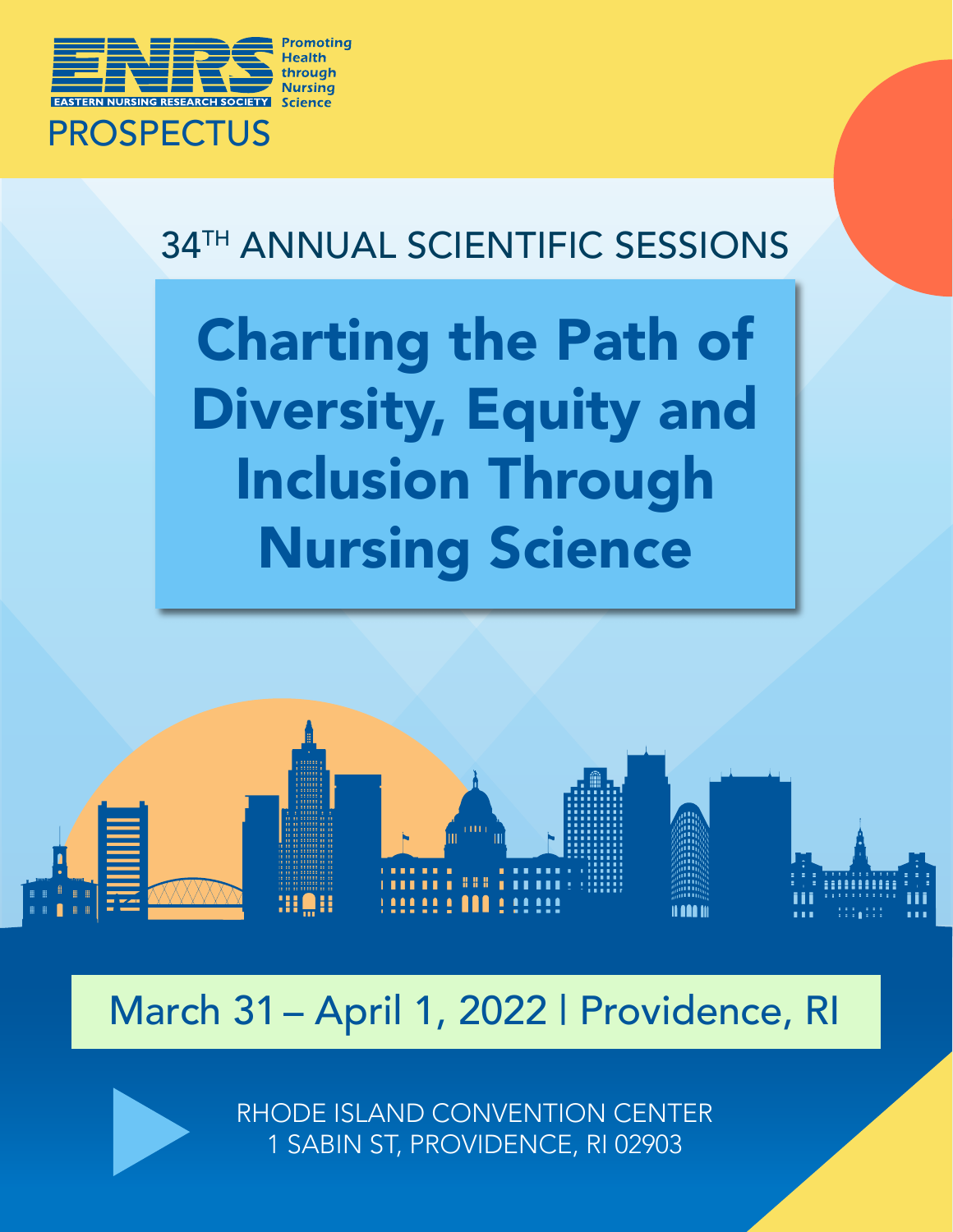

## 34<sup>TH</sup> ANNUAL SCIENTIFIC SESSIONS

Charting the Path of Diversity, Equity and Inclusion Through Nursing Science



# March 31 – April 1, 2022 | Providence, RI

RHODE ISLAND CONVENTION CENTER 1 SABIN ST, PROVIDENCE, RI 02903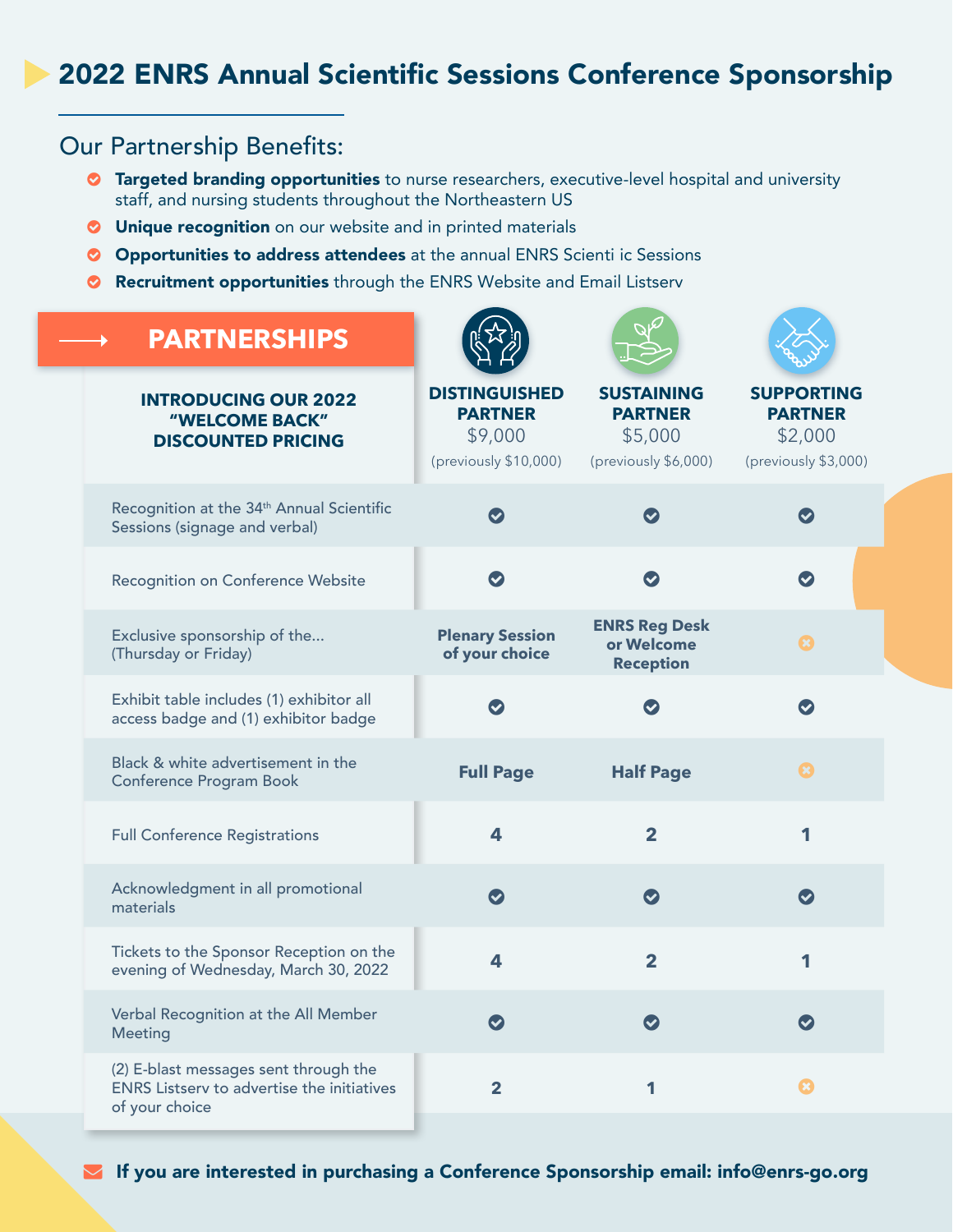### 2022 ENRS Annual Scientific Sessions Conference Sponsorship

### Our Partnership Benefits:

- **C** Targeted branding opportunities to nurse researchers, executive-level hospital and university staff, and nursing students throughout the Northeastern US
- **O** Unique recognition on our website and in printed materials
- **O** Opportunities to address attendees at the annual ENRS Scienti ic Sessions
- o Recruitment opportunities through the ENRS Website and Email Listserv

| <b>PARTNERSHIPS</b>                                                                                          |                                                                            |                                                                        |                                                                        |
|--------------------------------------------------------------------------------------------------------------|----------------------------------------------------------------------------|------------------------------------------------------------------------|------------------------------------------------------------------------|
| <b>INTRODUCING OUR 2022</b><br>"WELCOME BACK"<br><b>DISCOUNTED PRICING</b>                                   | <b>DISTINGUISHED</b><br><b>PARTNER</b><br>\$9,000<br>(previously \$10,000) | <b>SUSTAINING</b><br><b>PARTNER</b><br>\$5,000<br>(previously \$6,000) | <b>SUPPORTING</b><br><b>PARTNER</b><br>\$2,000<br>(previously \$3,000) |
| Recognition at the 34 <sup>th</sup> Annual Scientific<br>Sessions (signage and verbal)                       | $\bullet$                                                                  | $\bullet$                                                              | $\bullet$                                                              |
| Recognition on Conference Website                                                                            | $\bullet$                                                                  | $\bullet$                                                              | $\bullet$                                                              |
| Exclusive sponsorship of the<br>(Thursday or Friday)                                                         | <b>Plenary Session</b><br>of your choice                                   | <b>ENRS Reg Desk</b><br>or Welcome<br><b>Reception</b>                 | $\boldsymbol{\Omega}$                                                  |
| Exhibit table includes (1) exhibitor all<br>access badge and (1) exhibitor badge                             | $\bullet$                                                                  | $\blacktriangledown$                                                   | $\bullet$                                                              |
| Black & white advertisement in the<br>Conference Program Book                                                | <b>Full Page</b>                                                           | <b>Half Page</b>                                                       | $\bullet$                                                              |
| <b>Full Conference Registrations</b>                                                                         | $\overline{\mathbf{4}}$                                                    | $\overline{2}$                                                         | 1                                                                      |
| Acknowledgment in all promotional<br>materials                                                               | $\bullet$                                                                  | $\bullet$                                                              | $\bullet$                                                              |
| Tickets to the Sponsor Reception on the<br>evening of Wednesday, March 30, 2022                              | $\overline{\mathbf{4}}$                                                    | $\overline{2}$                                                         | 1                                                                      |
| Verbal Recognition at the All Member<br>Meeting                                                              | $\bullet$                                                                  | $\left( \mathbf{v}\right)$                                             | $\bullet$                                                              |
| (2) E-blast messages sent through the<br><b>ENRS Listserv to advertise the initiatives</b><br>of your choice | $\overline{\mathbf{2}}$                                                    | 1                                                                      |                                                                        |

[If you are interested in purchasing a Conference Sponsorship email: info@enrs-go.org](mailto:info%40enrs-go.org?subject=ENRS%202022%20Annual%20Partnership%20Package)